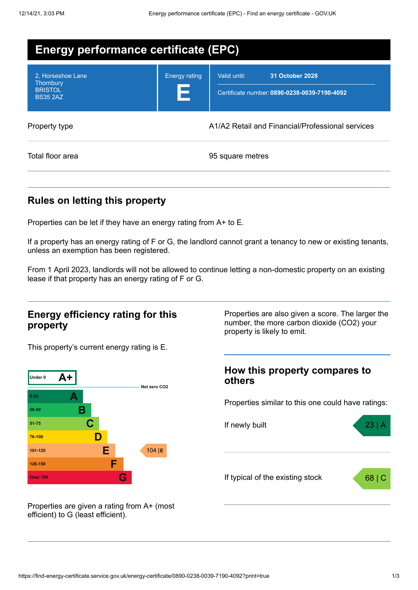| Energy performance certificate (EPC)                                |                            |                                                                                 |  |
|---------------------------------------------------------------------|----------------------------|---------------------------------------------------------------------------------|--|
| 2. Horseshoe Lane<br>Thornbury<br><b>BRISTOL</b><br><b>BS35 2AZ</b> | <b>Energy rating</b><br>13 | Valid until:<br>31 October 2028<br>Certificate number: 0890-0238-0039-7190-4092 |  |
| Property type                                                       |                            | A1/A2 Retail and Financial/Professional services                                |  |
| Total floor area                                                    |                            | 95 square metres                                                                |  |

## **Rules on letting this property**

Properties can be let if they have an energy rating from A+ to E.

If a property has an energy rating of F or G, the landlord cannot grant a tenancy to new or existing tenants, unless an exemption has been registered.

From 1 April 2023, landlords will not be allowed to continue letting a non-domestic property on an existing lease if that property has an energy rating of F or G.

### **Energy efficiency rating for this property**

Properties are also given a score. The larger the number, the more carbon dioxide (CO2) your property is likely to emit.

This property's current energy rating is E.



**How this property compares to others**

Properties similar to this one could have ratings:



Properties are given a rating from A+ (most efficient) to G (least efficient).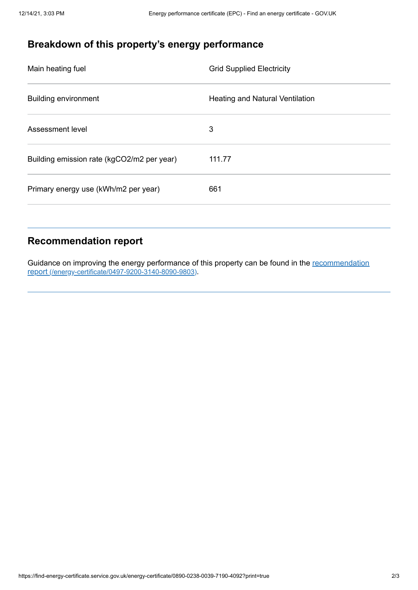# **Breakdown of this property's energy performance**

| Main heating fuel                          | <b>Grid Supplied Electricity</b> |
|--------------------------------------------|----------------------------------|
| <b>Building environment</b>                | Heating and Natural Ventilation  |
| Assessment level                           | 3                                |
| Building emission rate (kgCO2/m2 per year) | 111.77                           |
| Primary energy use (kWh/m2 per year)       | 661                              |

## **Recommendation report**

Guidance on improving the energy performance of this property can be found in the recommendation report [\(/energy-certificate/0497-9200-3140-8090-9803\)](https://find-energy-certificate.service.gov.uk/energy-certificate/0497-9200-3140-8090-9803).